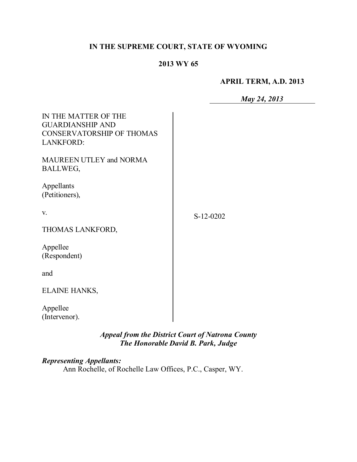## **IN THE SUPREME COURT, STATE OF WYOMING**

#### **2013 WY 65**

### **APRIL TERM, A.D. 2013**

*May 24, 2013*

| IN THE MATTER OF THE<br><b>GUARDIANSHIP AND</b><br><b>CONSERVATORSHIP OF THOMAS</b><br><b>LANKFORD:</b> |             |
|---------------------------------------------------------------------------------------------------------|-------------|
| <b>MAUREEN UTLEY and NORMA</b><br>BALLWEG,                                                              |             |
| Appellants<br>(Petitioners),                                                                            |             |
| V.                                                                                                      | $S-12-0202$ |
| THOMAS LANKFORD,                                                                                        |             |
| Appellee<br>(Respondent)                                                                                |             |
| and                                                                                                     |             |
| ELAINE HANKS,                                                                                           |             |
| Appellee<br>(Intervenor).                                                                               |             |

*Appeal from the District Court of Natrona County The Honorable David B. Park, Judge*

### *Representing Appellants:*

Ann Rochelle, of Rochelle Law Offices, P.C., Casper, WY.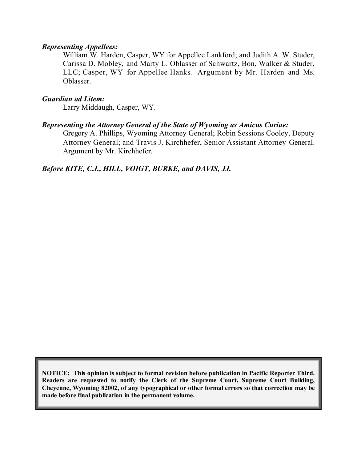#### *Representing Appellees:*

William W. Harden, Casper, WY for Appellee Lankford; and Judith A. W. Studer, Carissa D. Mobley, and Marty L. Oblasser of Schwartz, Bon, Walker & Studer, LLC; Casper, WY for Appellee Hanks. Argument by Mr. Harden and Ms. Oblasser.

#### *Guardian ad Litem:*

Larry Middaugh, Casper, WY.

#### *Representing the Attorney General of the State of Wyoming as Amicus Curiae:*

Gregory A. Phillips, Wyoming Attorney General; Robin Sessions Cooley, Deputy Attorney General; and Travis J. Kirchhefer, Senior Assistant Attorney General. Argument by Mr. Kirchhefer.

*Before KITE, C.J., HILL, VOIGT, BURKE, and DAVIS, JJ.*

**NOTICE: This opinion is subject to formal revision before publication in Pacific Reporter Third. Readers are requested to notify the Clerk of the Supreme Court, Supreme Court Building, Cheyenne, Wyoming 82002, of any typographical or other formal errors so that correction may be made before final publication in the permanent volume.**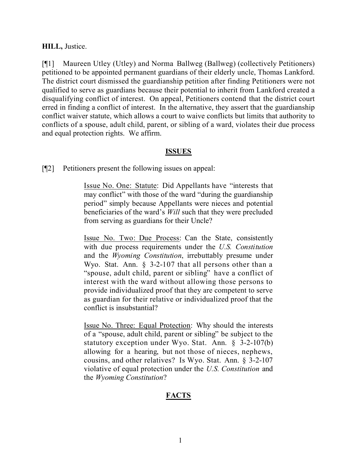#### **HILL,** Justice.

[¶1] Maureen Utley (Utley) and Norma Ballweg (Ballweg) (collectively Petitioners) petitioned to be appointed permanent guardians of their elderly uncle, Thomas Lankford. The district court dismissed the guardianship petition after finding Petitioners were not qualified to serve as guardians because their potential to inherit from Lankford created a disqualifying conflict of interest. On appeal, Petitioners contend that the district court erred in finding a conflict of interest. In the alternative, they assert that the guardianship conflict waiver statute, which allows a court to waive conflicts but limits that authority to conflicts of a spouse, adult child, parent, or sibling of a ward, violates their due process and equal protection rights. We affirm.

### **ISSUES**

[¶2] Petitioners present the following issues on appeal:

Issue No. One: Statute: Did Appellants have "interests that may conflict" with those of the ward "during the guardianship period" simply because Appellants were nieces and potential beneficiaries of the ward's *Will* such that they were precluded from serving as guardians for their Uncle?

Issue No. Two: Due Process: Can the State, consistently with due process requirements under the *U.S. Constitution* and the *Wyoming Constitution*, irrebuttably presume under Wyo. Stat. Ann. § 3-2-107 that all persons other than a "spouse, adult child, parent or sibling" have a conflict of interest with the ward without allowing those persons to provide individualized proof that they are competent to serve as guardian for their relative or individualized proof that the conflict is insubstantial?

Issue No. Three: Equal Protection: Why should the interests of a "spouse, adult child, parent or sibling" be subject to the statutory exception under Wyo. Stat. Ann. § 3-2-107(b) allowing for a hearing, but not those of nieces, nephews, cousins, and other relatives? Is Wyo. Stat. Ann. § 3-2-107 violative of equal protection under the *U.S. Constitution* and the *Wyoming Constitution*?

# **FACTS**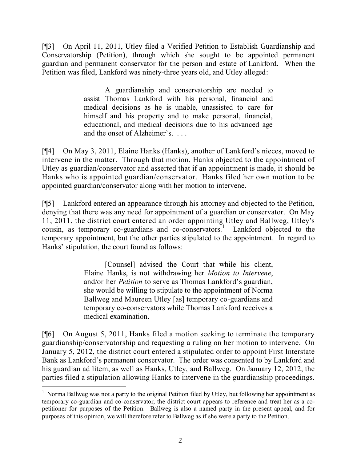[¶3] On April 11, 2011, Utley filed a Verified Petition to Establish Guardianship and Conservatorship (Petition), through which she sought to be appointed permanent guardian and permanent conservator for the person and estate of Lankford. When the Petition was filed, Lankford was ninety-three years old, and Utley alleged:

> A guardianship and conservatorship are needed to assist Thomas Lankford with his personal, financial and medical decisions as he is unable, unassisted to care for himself and his property and to make personal, financial, educational, and medical decisions due to his advanced age and the onset of Alzheimer's. . . .

[¶4] On May 3, 2011, Elaine Hanks (Hanks), another of Lankford's nieces, moved to intervene in the matter. Through that motion, Hanks objected to the appointment of Utley as guardian/conservator and asserted that if an appointment is made, it should be Hanks who is appointed guardian/conservator. Hanks filed her own motion to be appointed guardian/conservator along with her motion to intervene.

[¶5] Lankford entered an appearance through his attorney and objected to the Petition, denying that there was any need for appointment of a guardian or conservator. On May 11, 2011, the district court entered an order appointing Utley and Ballweg, Utley's cousin, as temporary co-guardians and co-conservators. 1 Lankford objected to the temporary appointment, but the other parties stipulated to the appointment. In regard to Hanks' stipulation, the court found as follows:

> [Counsel] advised the Court that while his client, Elaine Hanks, is not withdrawing her *Motion to Intervene*, and/or her *Petition* to serve as Thomas Lankford's guardian, she would be willing to stipulate to the appointment of Norma Ballweg and Maureen Utley [as] temporary co-guardians and temporary co-conservators while Thomas Lankford receives a medical examination.

[¶6] On August 5, 2011, Hanks filed a motion seeking to terminate the temporary guardianship/conservatorship and requesting a ruling on her motion to intervene. On January 5, 2012, the district court entered a stipulated order to appoint First Interstate Bank as Lankford's permanent conservator. The order was consented to by Lankford and his guardian ad litem, as well as Hanks, Utley, and Ballweg. On January 12, 2012, the parties filed a stipulation allowing Hanks to intervene in the guardianship proceedings.

 $\overline{a}$ 

<sup>&</sup>lt;sup>1</sup> Norma Ballweg was not a party to the original Petition filed by Utley, but following her appointment as temporary co-guardian and co-conservator, the district court appears to reference and treat her as a copetitioner for purposes of the Petition. Ballweg is also a named party in the present appeal, and for purposes of this opinion, we will therefore refer to Ballweg as if she were a party to the Petition.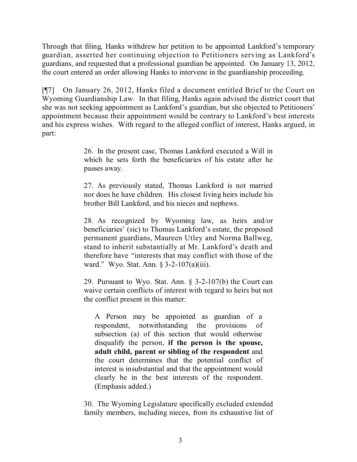Through that filing, Hanks withdrew her petition to be appointed Lankford's temporary guardian, asserted her continuing objection to Petitioners serving as Lankford's guardians, and requested that a professional guardian be appointed. On January 13, 2012, the court entered an order allowing Hanks to intervene in the guardianship proceeding.

[¶7] On January 26, 2012, Hanks filed a document entitled Brief to the Court on Wyoming Guardianship Law. In that filing, Hanks again advised the district court that she was not seeking appointment as Lankford's guardian, but she objected to Petitioners' appointment because their appointment would be contrary to Lankford's best interests and his express wishes. With regard to the alleged conflict of interest, Hanks argued, in part:

> 26. In the present case, Thomas Lankford executed a Will in which he sets forth the beneficiaries of his estate after he passes away.

> 27. As previously stated, Thomas Lankford is not married nor does he have children. His closest living heirs include his brother Bill Lankford, and his nieces and nephews.

> 28. As recognized by Wyoming law, as heirs and/or beneficiaries' (sic) to Thomas Lankford's estate, the proposed permanent guardians, Maureen Utley and Norma Ballweg, stand to inherit substantially at Mr. Lankford's death and therefore have "interests that may conflict with those of the ward." Wyo. Stat. Ann. § 3-2-107(a)(iii).

> 29. Pursuant to Wyo. Stat. Ann. § 3-2-107(b) the Court can waive certain conflicts of interest with regard to heirs but not the conflict present in this matter:

A Person may be appointed as guardian of a respondent, notwithstanding the provisions of subsection (a) of this section that would otherwise disqualify the person, **if the person is the spouse, adult child, parent or sibling of the respondent** and the court determines that the potential conflict of interest is insubstantial and that the appointment would clearly be in the best interests of the respondent. (Emphasis added.)

30. The Wyoming Legislature specifically excluded extended family members, including nieces, from its exhaustive list of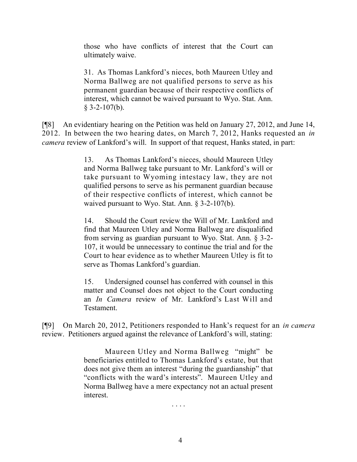those who have conflicts of interest that the Court can ultimately waive.

31. As Thomas Lankford's nieces, both Maureen Utley and Norma Ballweg are not qualified persons to serve as his permanent guardian because of their respective conflicts of interest, which cannot be waived pursuant to Wyo. Stat. Ann.  $§$  3-2-107(b).

[¶8] An evidentiary hearing on the Petition was held on January 27, 2012, and June 14, 2012. In between the two hearing dates, on March 7, 2012, Hanks requested an *in camera* review of Lankford's will. In support of that request, Hanks stated, in part:

> 13. As Thomas Lankford's nieces, should Maureen Utley and Norma Ballweg take pursuant to Mr. Lankford's will or take pursuant to Wyoming intestacy law, they are not qualified persons to serve as his permanent guardian because of their respective conflicts of interest, which cannot be waived pursuant to Wyo. Stat. Ann. § 3-2-107(b).

> 14. Should the Court review the Will of Mr. Lankford and find that Maureen Utley and Norma Ballweg are disqualified from serving as guardian pursuant to Wyo. Stat. Ann. § 3-2- 107, it would be unnecessary to continue the trial and for the Court to hear evidence as to whether Maureen Utley is fit to serve as Thomas Lankford's guardian.

> 15. Undersigned counsel has conferred with counsel in this matter and Counsel does not object to the Court conducting an *In Camera* review of Mr. Lankford's Last Will and Testament.

[¶9] On March 20, 2012, Petitioners responded to Hank's request for an *in camera* review. Petitioners argued against the relevance of Lankford's will, stating:

> Maureen Utley and Norma Ballweg "might" be beneficiaries entitled to Thomas Lankford's estate, but that does not give them an interest "during the guardianship" that "conflicts with the ward's interests". Maureen Utley and Norma Ballweg have a mere expectancy not an actual present interest.

> > . . . .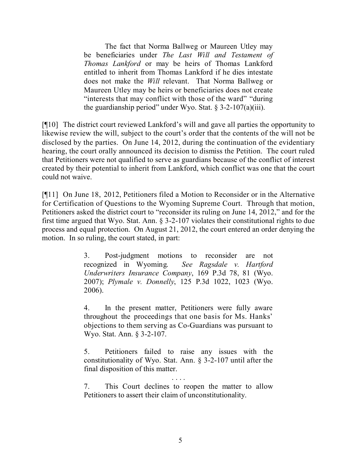The fact that Norma Ballweg or Maureen Utley may be beneficiaries under *The Last Will and Testament of Thomas Lankford* or may be heirs of Thomas Lankford entitled to inherit from Thomas Lankford if he dies intestate does not make the *Will* relevant. That Norma Ballweg or Maureen Utley may be heirs or beneficiaries does not create "interests that may conflict with those of the ward" "during the guardianship period" under Wyo. Stat. § 3-2-107(a)(iii).

[¶10] The district court reviewed Lankford's will and gave all parties the opportunity to likewise review the will, subject to the court's order that the contents of the will not be disclosed by the parties. On June 14, 2012, during the continuation of the evidentiary hearing, the court orally announced its decision to dismiss the Petition. The court ruled that Petitioners were not qualified to serve as guardians because of the conflict of interest created by their potential to inherit from Lankford, which conflict was one that the court could not waive.

[¶11] On June 18, 2012, Petitioners filed a Motion to Reconsider or in the Alternative for Certification of Questions to the Wyoming Supreme Court. Through that motion, Petitioners asked the district court to "reconsider its ruling on June 14, 2012," and for the first time argued that Wyo. Stat. Ann. § 3-2-107 violates their constitutional rights to due process and equal protection. On August 21, 2012, the court entered an order denying the motion. In so ruling, the court stated, in part:

> 3. Post-judgment motions to reconsider are not recognized in Wyoming. *See Ragsdale v. Hartford Underwriters Insurance Company*, 169 P.3d 78, 81 (Wyo. 2007); *Plymale v. Donnelly*, 125 P.3d 1022, 1023 (Wyo. 2006).

> 4. In the present matter, Petitioners were fully aware throughout the proceedings that one basis for Ms. Hanks' objections to them serving as Co-Guardians was pursuant to Wyo. Stat. Ann. § 3-2-107.

> 5. Petitioners failed to raise any issues with the constitutionality of Wyo. Stat. Ann. § 3-2-107 until after the final disposition of this matter.

> . . . . 7. This Court declines to reopen the matter to allow Petitioners to assert their claim of unconstitutionality.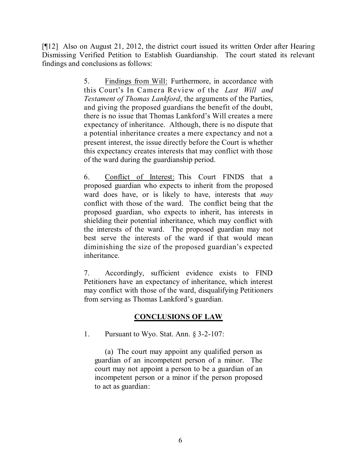[¶12] Also on August 21, 2012, the district court issued its written Order after Hearing Dismissing Verified Petition to Establish Guardianship. The court stated its relevant findings and conclusions as follows:

> 5. Findings from Will: Furthermore, in accordance with this Court's In Camera Review of the *Last Will and Testament of Thomas Lankford*, the arguments of the Parties, and giving the proposed guardians the benefit of the doubt, there is no issue that Thomas Lankford's Will creates a mere expectancy of inheritance. Although, there is no dispute that a potential inheritance creates a mere expectancy and not a present interest, the issue directly before the Court is whether this expectancy creates interests that may conflict with those of the ward during the guardianship period.

> 6. Conflict of Interest: This Court FINDS that a proposed guardian who expects to inherit from the proposed ward does have, or is likely to have, interests that *may* conflict with those of the ward. The conflict being that the proposed guardian, who expects to inherit, has interests in shielding their potential inheritance, which may conflict with the interests of the ward. The proposed guardian may not best serve the interests of the ward if that would mean diminishing the size of the proposed guardian's expected inheritance.

> 7. Accordingly, sufficient evidence exists to FIND Petitioners have an expectancy of inheritance, which interest may conflict with those of the ward, disqualifying Petitioners from serving as Thomas Lankford's guardian.

## **CONCLUSIONS OF LAW**

1. Pursuant to Wyo. Stat. Ann. § 3-2-107:

(a) The court may appoint any qualified person as guardian of an incompetent person of a minor. The court may not appoint a person to be a guardian of an incompetent person or a minor if the person proposed to act as guardian: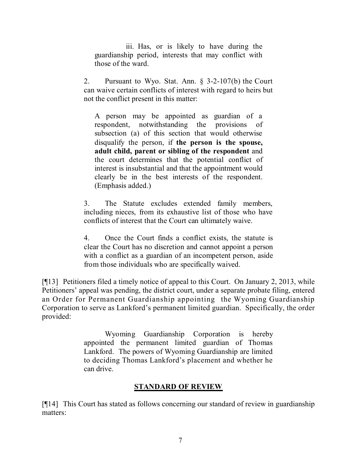iii. Has, or is likely to have during the guardianship period, interests that may conflict with those of the ward.

2. Pursuant to Wyo. Stat. Ann. § 3-2-107(b) the Court can waive certain conflicts of interest with regard to heirs but not the conflict present in this matter:

A person may be appointed as guardian of a respondent, notwithstanding the provisions of subsection (a) of this section that would otherwise disqualify the person, if **the person is the spouse, adult child, parent or sibling of the respondent** and the court determines that the potential conflict of interest is insubstantial and that the appointment would clearly be in the best interests of the respondent. (Emphasis added.)

3. The Statute excludes extended family members, including nieces, from its exhaustive list of those who have conflicts of interest that the Court can ultimately waive.

4. Once the Court finds a conflict exists, the statute is clear the Court has no discretion and cannot appoint a person with a conflict as a guardian of an incompetent person, aside from those individuals who are specifically waived.

[¶13] Petitioners filed a timely notice of appeal to this Court. On January 2, 2013, while Petitioners' appeal was pending, the district court, under a separate probate filing, entered an Order for Permanent Guardianship appointing the Wyoming Guardianship Corporation to serve as Lankford's permanent limited guardian. Specifically, the order provided:

> Wyoming Guardianship Corporation is hereby appointed the permanent limited guardian of Thomas Lankford. The powers of Wyoming Guardianship are limited to deciding Thomas Lankford's placement and whether he can drive.

#### **STANDARD OF REVIEW**

[¶14] This Court has stated as follows concerning our standard of review in guardianship matters: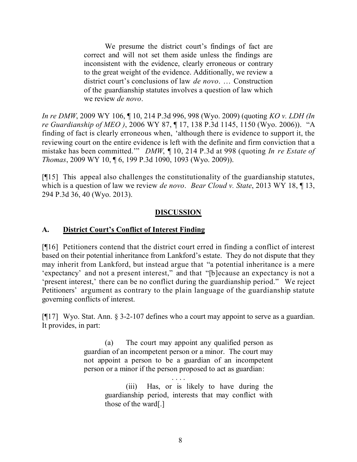We presume the district court's findings of fact are correct and will not set them aside unless the findings are inconsistent with the evidence, clearly erroneous or contrary to the great weight of the evidence. Additionally, we review a district court's conclusions of law *de novo*. … Construction of the guardianship statutes involves a question of law which we review *de novo*.

*In re DMW*, 2009 WY 106, ¶ 10, 214 P.3d 996, 998 (Wyo. 2009) (quoting *KO v. LDH (In re Guardianship of MEO )*, 2006 WY 87, ¶ 17, 138 P.3d 1145, 1150 (Wyo. 2006)). "A finding of fact is clearly erroneous when, 'although there is evidence to support it, the reviewing court on the entire evidence is left with the definite and firm conviction that a mistake has been committed.'" *DMW*, ¶ 10, 214 P.3d at 998 (quoting *In re Estate of Thomas*, 2009 WY 10, ¶ 6, 199 P.3d 1090, 1093 (Wyo. 2009)).

[¶15] This appeal also challenges the constitutionality of the guardianship statutes, which is a question of law we review *de novo*. *Bear Cloud v. State*, 2013 WY 18, ¶ 13, 294 P.3d 36, 40 (Wyo. 2013).

### **DISCUSSION**

### **A. District Court's Conflict of Interest Finding**

[¶16] Petitioners contend that the district court erred in finding a conflict of interest based on their potential inheritance from Lankford's estate. They do not dispute that they may inherit from Lankford, but instead argue that "a potential inheritance is a mere 'expectancy' and not a present interest," and that "[b]ecause an expectancy is not a 'present interest,' there can be no conflict during the guardianship period." We reject Petitioners' argument as contrary to the plain language of the guardianship statute governing conflicts of interest.

[¶17] Wyo. Stat. Ann. § 3-2-107 defines who a court may appoint to serve as a guardian. It provides, in part:

> (a) The court may appoint any qualified person as guardian of an incompetent person or a minor. The court may not appoint a person to be a guardian of an incompetent person or a minor if the person proposed to act as guardian:

> > . . . . (iii) Has, or is likely to have during the guardianship period, interests that may conflict with those of the ward[.]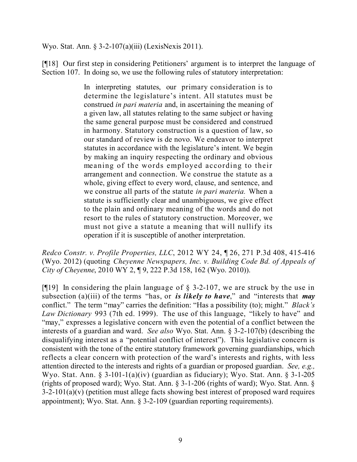Wyo. Stat. Ann. § 3-2-107(a)(iii) (LexisNexis 2011).

[¶18] Our first step in considering Petitioners' argument is to interpret the language of Section 107. In doing so, we use the following rules of statutory interpretation:

> In interpreting statutes, our primary consideration is to determine the legislature's intent. All statutes must be construed *in pari materia* and, in ascertaining the meaning of a given law, all statutes relating to the same subject or having the same general purpose must be considered and construed in harmony. Statutory construction is a question of law, so our standard of review is de novo. We endeavor to interpret statutes in accordance with the legislature's intent. We begin by making an inquiry respecting the ordinary and obvious meaning of the words employed according to their arrangement and connection. We construe the statute as a whole, giving effect to every word, clause, and sentence, and we construe all parts of the statute *in pari materia.* When a statute is sufficiently clear and unambiguous, we give effect to the plain and ordinary meaning of the words and do not resort to the rules of statutory construction. Moreover, we must not give a statute a meaning that will nullify its operation if it is susceptible of another interpretation.

*Redco Constr. v. Profile Properties, LLC*, 2012 WY 24, ¶ 26, 271 P.3d 408, 415-416 (Wyo. 2012) (quoting *Cheyenne Newspapers, Inc. v. Building Code Bd. of Appeals of City of Cheyenne*, 2010 WY 2, ¶ 9, 222 P.3d 158, 162 (Wyo. 2010)).

[ $[19]$  In considering the plain language of § 3-2-107, we are struck by the use in subsection (a)(iii) of the terms "has, or *is likely to have*," and "interests that *may* conflict." The term "may" carries the definition: "Has a possibility (to); might." *Black's Law Dictionary* 993 (7th ed. 1999). The use of this language, "likely to have" and "may," expresses a legislative concern with even the potential of a conflict between the interests of a guardian and ward. *See also* Wyo. Stat. Ann. § 3-2-107(b) (describing the disqualifying interest as a "potential conflict of interest"). This legislative concern is consistent with the tone of the entire statutory framework governing guardianships, which reflects a clear concern with protection of the ward's interests and rights, with less attention directed to the interests and rights of a guardian or proposed guardian. *See, e.g.,* Wyo. Stat. Ann. § 3-101-1(a)(iv) (guardian as fiduciary); Wyo. Stat. Ann. § 3-1-205 (rights of proposed ward); Wyo. Stat. Ann. § 3-1-206 (rights of ward); Wyo. Stat. Ann. §  $3-2-101(a)(v)$  (petition must allege facts showing best interest of proposed ward requires appointment); Wyo. Stat. Ann. § 3-2-109 (guardian reporting requirements).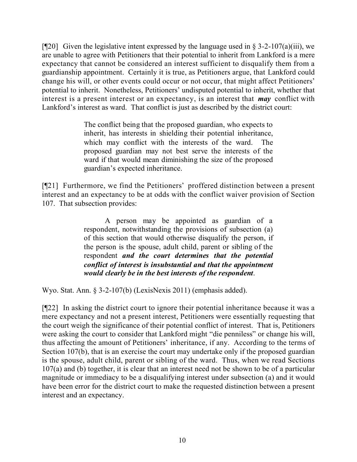[ $[$ [20] Given the legislative intent expressed by the language used in § 3-2-107(a)(iii), we are unable to agree with Petitioners that their potential to inherit from Lankford is a mere expectancy that cannot be considered an interest sufficient to disqualify them from a guardianship appointment. Certainly it is true, as Petitioners argue, that Lankford could change his will, or other events could occur or not occur, that might affect Petitioners' potential to inherit. Nonetheless, Petitioners' undisputed potential to inherit, whether that interest is a present interest or an expectancy, is an interest that *may* conflict with Lankford's interest as ward. That conflict is just as described by the district court:

> The conflict being that the proposed guardian, who expects to inherit, has interests in shielding their potential inheritance, which may conflict with the interests of the ward. The proposed guardian may not best serve the interests of the ward if that would mean diminishing the size of the proposed guardian's expected inheritance.

[¶21] Furthermore, we find the Petitioners' proffered distinction between a present interest and an expectancy to be at odds with the conflict waiver provision of Section 107. That subsection provides:

> A person may be appointed as guardian of a respondent, notwithstanding the provisions of subsection (a) of this section that would otherwise disqualify the person, if the person is the spouse, adult child, parent or sibling of the respondent *and the court determines that the potential conflict of interest is insubstantial and that the appointment would clearly be in the best interests of the respondent*.

Wyo. Stat. Ann. § 3-2-107(b) (LexisNexis 2011) (emphasis added).

[¶22] In asking the district court to ignore their potential inheritance because it was a mere expectancy and not a present interest, Petitioners were essentially requesting that the court weigh the significance of their potential conflict of interest. That is, Petitioners were asking the court to consider that Lankford might "die penniless" or change his will, thus affecting the amount of Petitioners' inheritance, if any. According to the terms of Section 107(b), that is an exercise the court may undertake only if the proposed guardian is the spouse, adult child, parent or sibling of the ward. Thus, when we read Sections 107(a) and (b) together, it is clear that an interest need not be shown to be of a particular magnitude or immediacy to be a disqualifying interest under subsection (a) and it would have been error for the district court to make the requested distinction between a present interest and an expectancy.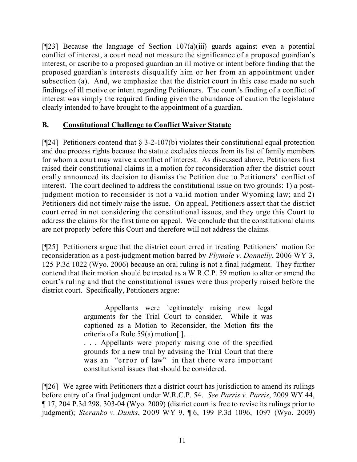[¶23] Because the language of Section 107(a)(iii) guards against even a potential conflict of interest, a court need not measure the significance of a proposed guardian's interest, or ascribe to a proposed guardian an ill motive or intent before finding that the proposed guardian's interests disqualify him or her from an appointment under subsection (a). And, we emphasize that the district court in this case made no such findings of ill motive or intent regarding Petitioners. The court's finding of a conflict of interest was simply the required finding given the abundance of caution the legislature clearly intended to have brought to the appointment of a guardian.

## **B. Constitutional Challenge to Conflict Waiver Statute**

[ $[24]$ ] Petitioners contend that  $\S$  3-2-107(b) violates their constitutional equal protection and due process rights because the statute excludes nieces from its list of family members for whom a court may waive a conflict of interest. As discussed above, Petitioners first raised their constitutional claims in a motion for reconsideration after the district court orally announced its decision to dismiss the Petition due to Petitioners' conflict of interest. The court declined to address the constitutional issue on two grounds: 1) a postjudgment motion to reconsider is not a valid motion under Wyoming law; and 2) Petitioners did not timely raise the issue. On appeal, Petitioners assert that the district court erred in not considering the constitutional issues, and they urge this Court to address the claims for the first time on appeal. We conclude that the constitutional claims are not properly before this Court and therefore will not address the claims.

[¶25] Petitioners argue that the district court erred in treating Petitioners' motion for reconsideration as a post-judgment motion barred by *Plymale v. Donnelly*, 2006 WY 3, 125 P.3d 1022 (Wyo. 2006) because an oral ruling is not a final judgment. They further contend that their motion should be treated as a W.R.C.P. 59 motion to alter or amend the court's ruling and that the constitutional issues were thus properly raised before the district court. Specifically, Petitioners argue:

> Appellants were legitimately raising new legal arguments for the Trial Court to consider. While it was captioned as a Motion to Reconsider, the Motion fits the criteria of a Rule 59(a) motion[.]. . .

> . . . Appellants were properly raising one of the specified grounds for a new trial by advising the Trial Court that there was an "error of law" in that there were important constitutional issues that should be considered.

[¶26] We agree with Petitioners that a district court has jurisdiction to amend its rulings before entry of a final judgment under W.R.C.P. 54. *See Parris v. Parris*, 2009 WY 44, ¶ 17, 204 P.3d 298, 303-04 (Wyo. 2009) (district court is free to revise its rulings prior to judgment); *Steranko v. Dunks*, 2009 WY 9, ¶ 6, 199 P.3d 1096, 1097 (Wyo. 2009)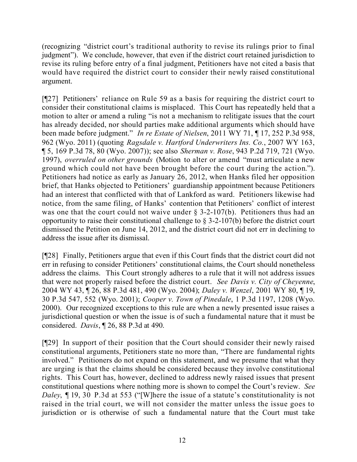(recognizing "district court's traditional authority to revise its rulings prior to final judgment"). We conclude, however, that even if the district court retained jurisdiction to revise its ruling before entry of a final judgment, Petitioners have not cited a basis that would have required the district court to consider their newly raised constitutional argument.

[¶27] Petitioners' reliance on Rule 59 as a basis for requiring the district court to consider their constitutional claims is misplaced. This Court has repeatedly held that a motion to alter or amend a ruling "is not a mechanism to relitigate issues that the court has already decided, nor should parties make additional arguments which should have been made before judgment." *In re Estate of Nielsen*, 2011 WY 71, ¶ 17, 252 P.3d 958, 962 (Wyo. 2011) (quoting *Ragsdale v. Hartford Underwriters Ins. Co.*, 2007 WY 163, ¶ 5, 169 P.3d 78, 80 (Wyo. 2007)); see also *Sherman v. Rose*, 943 P.2d 719, 721 (Wyo. 1997), *overruled on other grounds* (Motion to alter or amend "must articulate a new ground which could not have been brought before the court during the action."). Petitioners had notice as early as January 26, 2012, when Hanks filed her opposition brief, that Hanks objected to Petitioners' guardianship appointment because Petitioners had an interest that conflicted with that of Lankford as ward. Petitioners likewise had notice, from the same filing, of Hanks' contention that Petitioners' conflict of interest was one that the court could not waive under  $\S$  3-2-107(b). Petitioners thus had an opportunity to raise their constitutional challenge to § 3-2-107(b) before the district court dismissed the Petition on June 14, 2012, and the district court did not err in declining to address the issue after its dismissal.

[¶28] Finally, Petitioners argue that even if this Court finds that the district court did not err in refusing to consider Petitioners' constitutional claims, the Court should nonetheless address the claims. This Court strongly adheres to a rule that it will not address issues that were not properly raised before the district court. *See Davis v. City of Cheyenne*, 2004 WY 43, ¶ 26, 88 P.3d 481, 490 (Wyo. 2004); *Daley v. Wenzel*, 2001 WY 80, ¶ 19, 30 P.3d 547, 552 (Wyo. 2001); *Cooper v. Town of Pinedale*, 1 P.3d 1197, 1208 (Wyo. 2000). Our recognized exceptions to this rule are when a newly presented issue raises a jurisdictional question or when the issue is of such a fundamental nature that it must be considered. *Davis*, ¶ 26, 88 P.3d at 490.

[¶29] In support of their position that the Court should consider their newly raised constitutional arguments, Petitioners state no more than, "There are fundamental rights involved." Petitioners do not expand on this statement, and we presume that what they are urging is that the claims should be considered because they involve constitutional rights. This Court has, however, declined to address newly raised issues that present constitutional questions where nothing more is shown to compel the Court's review. *See Daley*, ¶ 19, 30 P.3d at 553 ("[W]here the issue of a statute's constitutionality is not raised in the trial court, we will not consider the matter unless the issue goes to jurisdiction or is otherwise of such a fundamental nature that the Court must take